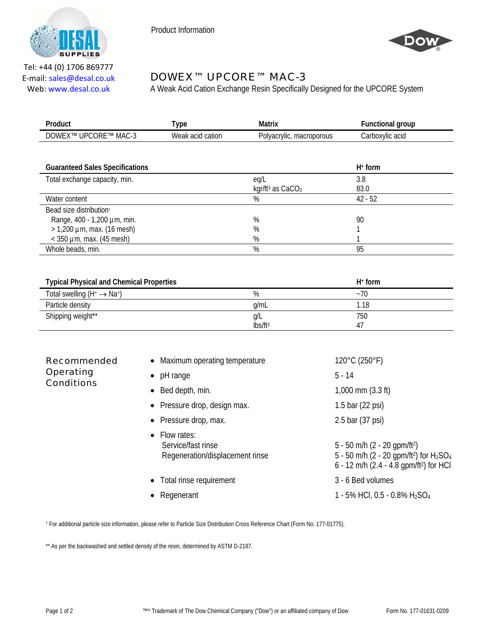

Product Information



Tel: +44 (0) 1706 869777 E‐mail: sales@desal.co.uk Web: www.desal.co.uk

## DOWEX™ UPCORE™ MAC-3

A Weak Acid Cation Exchange Resin Specifically Designed for the UPCORE System

| Product                                         | <b>Type</b>      | <b>Matrix</b>                            | <b>Functional group</b> |  |
|-------------------------------------------------|------------------|------------------------------------------|-------------------------|--|
| DOWEX™ UPCORE™ MAC-3                            | Weak acid cation | Polyacrylic, macroporous                 | Carboxylic acid         |  |
|                                                 |                  |                                          |                         |  |
| <b>Guaranteed Sales Specifications</b>          |                  |                                          | $H^+$ form              |  |
| Total exchange capacity, min.                   |                  | eq/L                                     | 3.8                     |  |
|                                                 |                  | kgr/ft <sup>3</sup> as CaCO <sub>3</sub> | 83.0                    |  |
| Water content                                   |                  | $\%$                                     | $42 - 52$               |  |
| Bead size distribution <sup>+</sup>             |                  |                                          |                         |  |
| Range, 400 - 1,200 µm, min.                     |                  | $\%$                                     | 90                      |  |
| $> 1,200$ µm, max. (16 mesh)                    |                  | %                                        |                         |  |
| $<$ 350 µm, max. (45 mesh)                      |                  | %                                        |                         |  |
| Whole beads, min.                               |                  | %                                        | 95                      |  |
|                                                 |                  |                                          |                         |  |
| <b>Typical Physical and Chemical Properties</b> |                  |                                          | $H^+$ form              |  |
| Total swelling $(H^+ \rightarrow Na^+)$         |                  | %                                        | $~1$ -70                |  |
| Particle density                                |                  | g/mL                                     | 1.18                    |  |
| Shipping weight**                               |                  | g/L                                      | 750                     |  |

| <b>Recommended</b><br><b>Operating</b><br><b>Conditions</b> | • Maximum operating temperature                                        | 120°C (250°F)                                                                                                                                               |
|-------------------------------------------------------------|------------------------------------------------------------------------|-------------------------------------------------------------------------------------------------------------------------------------------------------------|
|                                                             | $\bullet$ pH range                                                     | $5 - 14$                                                                                                                                                    |
|                                                             | $\bullet$ Bed depth, min.                                              | $1,000$ mm $(3.3 \text{ ft})$                                                                                                                               |
|                                                             | • Pressure drop, design max.                                           | 1.5 bar (22 psi)                                                                                                                                            |
|                                                             | • Pressure drop, max.                                                  | 2.5 bar (37 psi)                                                                                                                                            |
|                                                             | • Flow rates:<br>Service/fast rinse<br>Regeneration/displacement rinse | $5 - 50$ m/h (2 - 20 gpm/ft <sup>2</sup> )<br>5 - 50 m/h (2 - 20 gpm/ft <sup>2</sup> ) for $H_2SO_4$<br>6 - 12 m/h (2.4 - 4.8 qpm/ft <sup>2</sup> ) for HCI |
|                                                             | • Total rinse requirement                                              | 3 - 6 Bed volumes                                                                                                                                           |
|                                                             | Regenerant<br>٠                                                        | 1 - 5% HCl, 0.5 - 0.8% $H_2SO_4$                                                                                                                            |

lbs/ft3

47

† For additional particle size information, please refer to Particle Size Distribution Cross Reference Chart (Form No. 177-01775).

\*\* As per the backwashed and settled density of the resin, determined by ASTM D-2187.